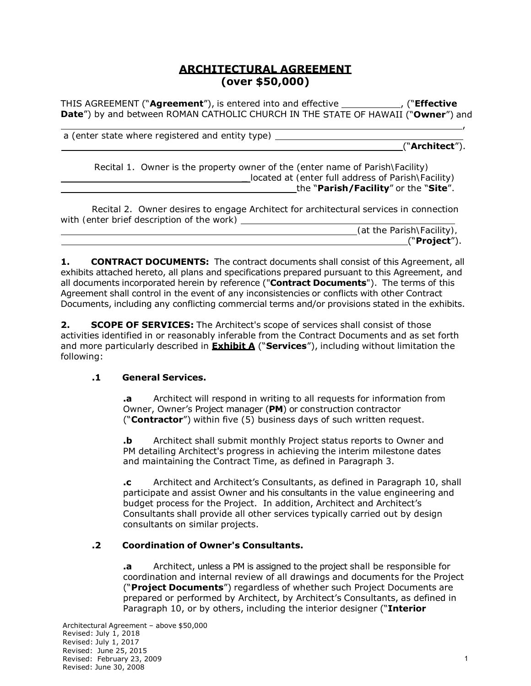## **ARCHITECTURAL AGREEMENT (over \$50,000)**

THIS AGREEMENT ("**Agreement**"), is entered into and effective , ("**Effective Date**") by and between ROMAN CATHOLIC CHURCH IN THE STATE OF HAWAII ("**Owner**") and

,

a (*enter state where registered and entity type)*

("**Architect**").

Recital 1. Owner is the property owner of the (*enter name of Parish\Facility)* \_ located at *(enter full address of Parish\Facility)* the "**Parish/Facility**" or the "**Site**".

Recital 2. Owner desires to engage Architect for architectural services in connection with *(enter brief description of the work)*

|  | (at the Parish\Facility), |
|--|---------------------------|
|  | "Project").               |

**1. CONTRACT DOCUMENTS:** The contract documents shall consist of this Agreement, all exhibits attached hereto, all plans and specifications prepared pursuant to this Agreement, and all documents incorporated herein by reference ("**Contract Documents**"). The terms of this Agreement shall control in the event of any inconsistencies or conflicts with other Contract Documents, including any conflicting commercial terms and/or provisions stated in the exhibits.

**2. SCOPE OF SERVICES:** The Architect's scope of services shall consist of those activities identified in or reasonably inferable from the Contract Documents and as set forth and more particularly described in **Exhibit A** ("**Services**"), including without limitation the following:

#### **.1 General Services.**

**.a** Architect will respond in writing to all requests for information from Owner, Owner's Project manager (**PM**) or construction contractor ("**Contractor**") within five (5) business days of such written request.

**.b** Architect shall submit monthly Project status reports to Owner and PM detailing Architect's progress in achieving the interim milestone dates and maintaining the Contract Time, as defined in Paragraph 3.

**.c** Architect and Architect's Consultants, as defined in Paragraph 10, shall participate and assist Owner and his consultants in the value engineering and budget process for the Project. In addition, Architect and Architect's Consultants shall provide all other services typically carried out by design consultants on similar projects.

## **.2 Coordination of Owner's Consultants.**

**.a** Architect, unless a PM is assigned to the project shall be responsible for coordination and internal review of all drawings and documents for the Project ("**Project Documents**") regardless of whether such Project Documents are prepared or performed by Architect, by Architect's Consultants, as defined in Paragraph 10, or by others, including the interior designer ("**Interior**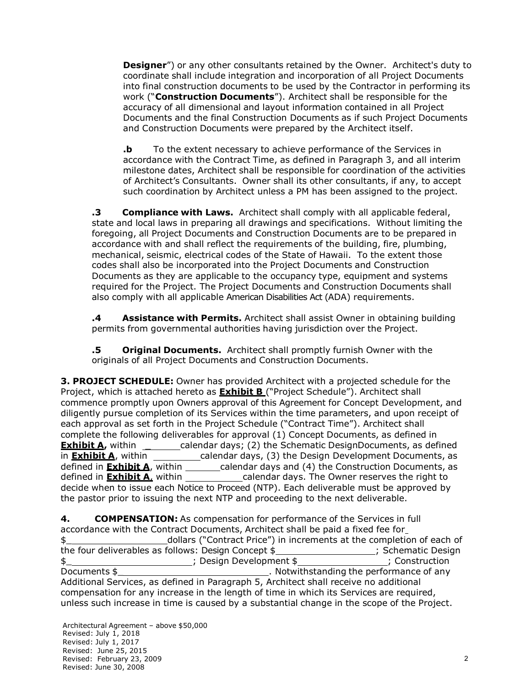**Designer**") or any other consultants retained by the Owner. Architect's duty to coordinate shall include integration and incorporation of all Project Documents into final construction documents to be used by the Contractor in performing its work ("**Construction Documents**"). Architect shall be responsible for the accuracy of all dimensional and layout information contained in all Project Documents and the final Construction Documents as if such Project Documents and Construction Documents were prepared by the Architect itself.

**.b** To the extent necessary to achieve performance of the Services in accordance with the Contract Time, as defined in Paragraph 3, and all interim milestone dates, Architect shall be responsible for coordination of the activities of Architect's Consultants. Owner shall its other consultants, if any, to accept such coordination by Architect unless a PM has been assigned to the project.

**.3 Compliance with Laws.** Architect shall comply with all applicable federal, state and local laws in preparing all drawings and specifications. Without limiting the foregoing, all Project Documents and Construction Documents are to be prepared in accordance with and shall reflect the requirements of the building, fire, plumbing, mechanical, seismic, electrical codes of the State of Hawaii. To the extent those codes shall also be incorporated into the Project Documents and Construction Documents as they are applicable to the occupancy type, equipment and systems required for the Project. The Project Documents and Construction Documents shall also comply with all applicable American Disabilities Act (ADA) requirements.

**.4 Assistance with Permits.** Architect shall assist Owner in obtaining building permits from governmental authorities having jurisdiction over the Project.

**.5 Original Documents.** Architect shall promptly furnish Owner with the originals of all Project Documents and Construction Documents.

**3. PROJECT SCHEDULE:** Owner has provided Architect with a projected schedule for the Project, which is attached hereto as **Exhibit B** ("Project Schedule"). Architect shall commence promptly upon Owners approval of this Agreement for Concept Development, and diligently pursue completion of its Services within the time parameters, and upon receipt of each approval as set forth in the Project Schedule ("Contract Time"). Architect shall complete the following deliverables for approval (1) Concept Documents, as defined in **Exhibit A**, within \_\_\_\_\_\_\_\_\_calendar days; (2) the Schematic DesignDocuments, as defined in **Exhibit A**, within **calendar days, (3)** the Design Development Documents, as defined in **Exhibit A**, within \_\_\_\_\_\_\_\_calendar days and (4) the Construction Documents, as defined in **Exhibit A**, within calendar days. The Owner reserves the right to decide when to issue each Notice to Proceed (NTP). Each deliverable must be approved by the pastor prior to issuing the next NTP and proceeding to the next deliverable.

**4. COMPENSATION:** As compensation for performance of the Services in full accordance with the Contract Documents, Architect shall be paid a fixed fee for \$\_ dollars ("Contract Price") in increments at the completion of each of the four deliverables as follows: Design Concept \$ \_\_\_\_\_\_\_\_\_\_\_\_\_\_\_\_\_; Schematic Design \$\_ ; Design Development \$ ; Construction Documents \$\_ . Notwithstanding the performance of any Additional Services, as defined in Paragraph 5, Architect shall receive no additional compensation for any increase in the length of time in which its Services are required, unless such increase in time is caused by a substantial change in the scope of the Project.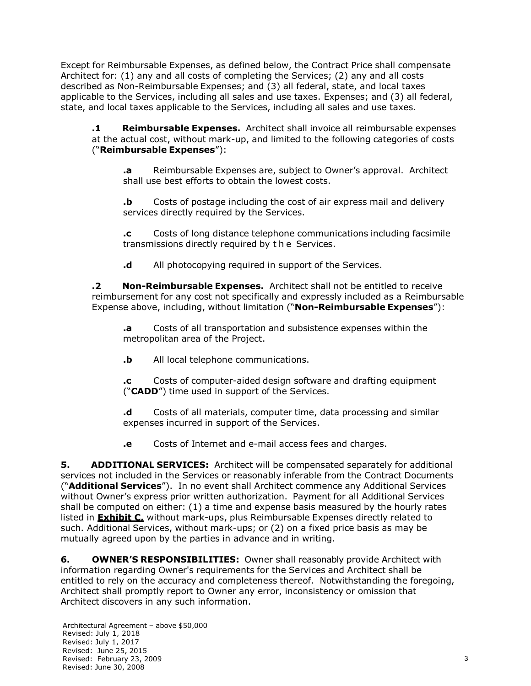Except for Reimbursable Expenses, as defined below, the Contract Price shall compensate Architect for: (1) any and all costs of completing the Services; (2) any and all costs described as Non-Reimbursable Expenses; and (3) all federal, state, and local taxes applicable to the Services, including all sales and use taxes. Expenses; and (3) all federal, state, and local taxes applicable to the Services, including all sales and use taxes.

**.1 Reimbursable Expenses.** Architect shall invoice all reimbursable expenses at the actual cost, without mark-up, and limited to the following categories of costs ("**Reimbursable Expenses**"):

**.a** Reimbursable Expenses are, subject to Owner's approval. Architect shall use best efforts to obtain the lowest costs.

**b** Costs of postage including the cost of air express mail and delivery services directly required by the Services.

**.c** Costs of long distance telephone communications including facsimile transmissions directly required by t h e Services.

**.d** All photocopying required in support of the Services.

**.2 Non-Reimbursable Expenses.** Architect shall not be entitled to receive reimbursement for any cost not specifically and expressly included as a Reimbursable Expense above, including, without limitation ("**Non-Reimbursable Expenses**"):

**.a** Costs of all transportation and subsistence expenses within the metropolitan area of the Project.

**.b** All local telephone communications.

**.c** Costs of computer-aided design software and drafting equipment ("**CADD**") time used in support of the Services.

**.d** Costs of all materials, computer time, data processing and similar expenses incurred in support of the Services.

**.e** Costs of Internet and e-mail access fees and charges.

**5.** ADDITIONAL SERVICES: Architect will be compensated separately for additional services not included in the Services or reasonably inferable from the Contract Documents ("**Additional Services**"). In no event shall Architect commence any Additional Services without Owner's express prior written authorization. Payment for all Additional Services shall be computed on either: (1) a time and expense basis measured by the hourly rates listed in **Exhibit C,** without mark-ups, plus Reimbursable Expenses directly related to such. Additional Services, without mark-ups; or (2) on a fixed price basis as may be mutually agreed upon by the parties in advance and in writing.

**6. OWNER'S RESPONSIBILITIES:** Owner shall reasonably provide Architect with information regarding Owner's requirements for the Services and Architect shall be entitled to rely on the accuracy and completeness thereof. Notwithstanding the foregoing, Architect shall promptly report to Owner any error, inconsistency or omission that Architect discovers in any such information.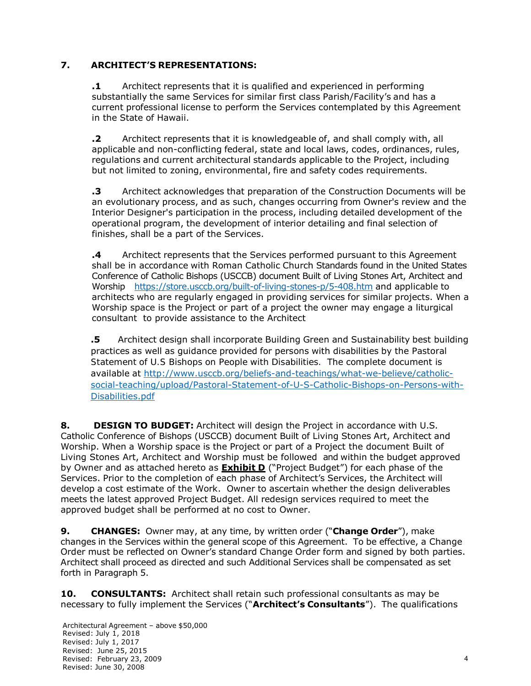### **7. ARCHITECT'S REPRESENTATIONS:**

**.1** Architect represents that it is qualified and experienced in performing substantially the same Services for similar first class Parish/Facility's and has a current professional license to perform the Services contemplated by this Agreement in the State of Hawaii.

**.2** Architect represents that it is knowledgeable of, and shall comply with, all applicable and non-conflicting federal, state and local laws, codes, ordinances, rules, regulations and current architectural standards applicable to the Project, including but not limited to zoning, environmental, fire and safety codes requirements.

**.3** Architect acknowledges that preparation of the Construction Documents will be an evolutionary process, and as such, changes occurring from Owner's review and the Interior Designer's participation in the process, including detailed development of the operational program, the development of interior detailing and final selection of finishes, shall be a part of the Services.

**.4** Architect represents that the Services performed pursuant to this Agreement shall be in accordance with Roman Catholic Church Standards found in the United States Conference of Catholic Bishops (USCCB) document Built of Living Stones Art, Architect and Worship https://store.usccb.org/built-of-living-stones-p/5-408.htm and applicable to architects who are regularly engaged in providing services for similar projects. When a Worship space is the Project or part of a project the owner may engage a liturgical consultant to provide assistance to the Architect

**.5** Architect design shall incorporate Building Green and Sustainability best building practices as well as guidance provided for persons with disabilities by the *Pastoral Statement of U.S Bishops on People with Disabilities.* The complete document is available at http://www.usccb.org/beliefs-and-teachings/what-we-believe/catholicsocial-teaching/upload/Pastoral-Statement-of-U-S-Catholic-Bishops-on-Persons-with-Disabilities.pdf

**8. DESIGN TO BUDGET:** Architect will design the Project in accordance with U.S. Catholic Conference of Bishops (USCCB) document Built of Living Stones Art, Architect and Worship. When a Worship space is the Project or part of a Project the document Built of Living Stones Art, Architect and Worship must be followed and within the budget approved by Owner and as attached hereto as **Exhibit D** ("Project Budget") for each phase of the Services. Prior to the completion of each phase of Architect's Services, the Architect will develop a cost estimate of the Work. Owner to ascertain whether the design deliverables meets the latest approved Project Budget. All redesign services required to meet the approved budget shall be performed at no cost to Owner.

**9. CHANGES:** Owner may, at any time, by written order ("**Change Order**"), make changes in the Services within the general scope of this Agreement. To be effective, a Change Order must be reflected on Owner's standard Change Order form and signed by both parties. Architect shall proceed as directed and such Additional Services shall be compensated as set forth in Paragraph 5.

**10. CONSULTANTS:** Architect shall retain such professional consultants as may be necessary to fully implement the Services ("**Architect's Consultants**"). The qualifications

Architectural Agreement – above \$50,000 Revised: July 1, 2018 Revised: July 1, 2017 Revised: June 25, 2015 Revised: February 23, 2009 Revised: June 30, 2008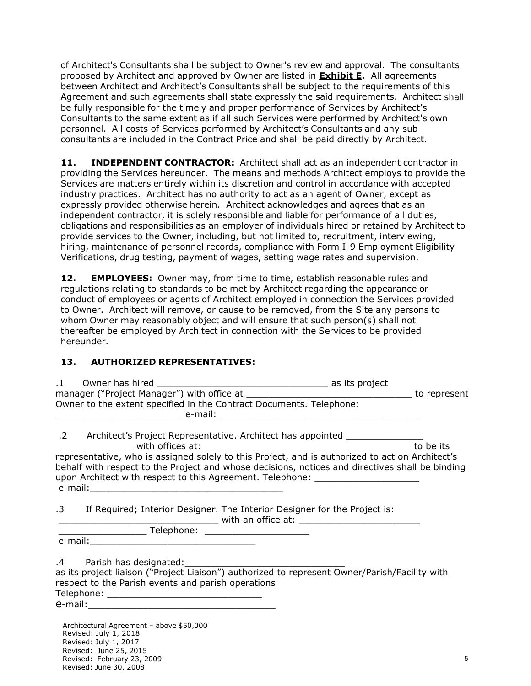of Architect's Consultants shall be subject to Owner's review and approval. The consultants proposed by Architect and approved by Owner are listed in **Exhibit E.** All agreements between Architect and Architect's Consultants shall be subject to the requirements of this Agreement and such agreements shall state expressly the said requirements. Architect shall be fully responsible for the timely and proper performance of Services by Architect's Consultants to the same extent as if all such Services were performed by Architect's own personnel. All costs of Services performed by Architect's Consultants and any sub consultants are included in the Contract Price and shall be paid directly by Architect.

11. **INDEPENDENT CONTRACTOR:** Architect shall act as an independent contractor in providing the Services hereunder. The means and methods Architect employs to provide the Services are matters entirely within its discretion and control in accordance with accepted industry practices. Architect has no authority to act as an agent of Owner, except as expressly provided otherwise herein. Architect acknowledges and agrees that as an independent contractor, it is solely responsible and liable for performance of all duties, obligations and responsibilities as an employer of individuals hired or retained by Architect to provide services to the Owner, including, but not limited to, recruitment, interviewing, hiring, maintenance of personnel records, compliance with Form I-9 Employment Eligibility Verifications, drug testing, payment of wages, setting wage rates and supervision.

**12. EMPLOYEES:** Owner may, from time to time, establish reasonable rules and regulations relating to standards to be met by Architect regarding the appearance or conduct of employees or agents of Architect employed in connection the Services provided to Owner. Architect will remove, or cause to be removed, from the Site any persons to whom Owner may reasonably object and will ensure that such person(s) shall not thereafter be employed by Architect in connection with the Services to be provided hereunder.

#### **13. AUTHORIZED REPRESENTATIVES:**

| Owner to the extent specified in the Contract Documents. Telephone:                                                                                                                                                                                                                    |           |
|----------------------------------------------------------------------------------------------------------------------------------------------------------------------------------------------------------------------------------------------------------------------------------------|-----------|
| .2 Architect's Project Representative. Architect has appointed _________________                                                                                                                                                                                                       | to be its |
| representative, who is assigned solely to this Project, and is authorized to act on Architect's<br>behalf with respect to the Project and whose decisions, notices and directives shall be binding<br>upon Architect with respect to this Agreement. Telephone: ______________________ |           |
| .3 If Required; Interior Designer. The Interior Designer for the Project is:                                                                                                                                                                                                           |           |
|                                                                                                                                                                                                                                                                                        |           |
| as its project liaison ("Project Liaison") authorized to represent Owner/Parish/Facility with<br>respect to the Parish events and parish operations                                                                                                                                    |           |
|                                                                                                                                                                                                                                                                                        |           |
| Architectural Agreement - above \$50,000<br>Revised: 1uly 1 2018                                                                                                                                                                                                                       |           |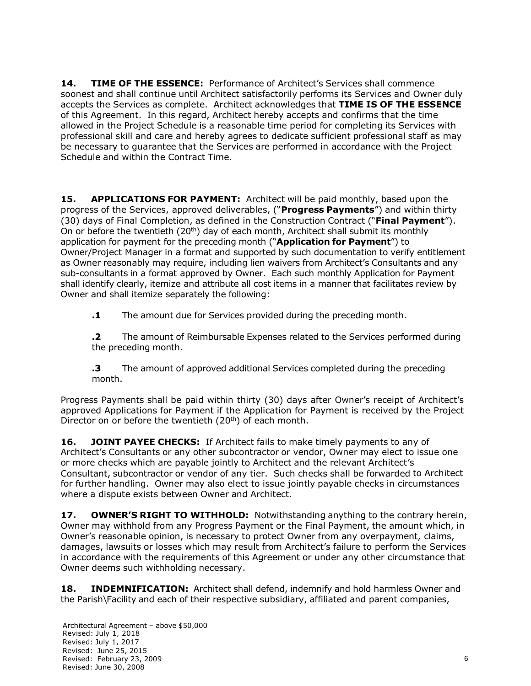**14. TIME OF THE ESSENCE:** Performance of Architect's Services shall commence soonest and shall continue until Architect satisfactorily performs its Services and Owner duly accepts the Services as complete. Architect acknowledges that **TIME IS OF THE ESSENCE**  of this Agreement. In this regard, Architect hereby accepts and confirms that the time allowed in the Project Schedule is a reasonable time period for completing its Services with professional skill and care and hereby agrees to dedicate sufficient professional staff as may be necessary to guarantee that the Services are performed in accordance with the Project Schedule and within the Contract Time.

**15. APPLICATIONS FOR PAYMENT:** Architect will be paid monthly, based upon the progress of the Services, approved deliverables, ("**Progress Payments**") and within thirty (30) days of Final Completion, as defined in the Construction Contract ("**Final Payment**"). On or before the twentieth  $(20<sup>th</sup>)$  day of each month, Architect shall submit its monthly application for payment for the preceding month ("**Application for Payment**") to Owner/Project Manager in a format and supported by such documentation to verify entitlement as Owner reasonably may require, including lien waivers from Architect's Consultants and any sub-consultants in a format approved by Owner. Each such monthly Application for Payment shall identify clearly, itemize and attribute all cost items in a manner that facilitates review by Owner and shall itemize separately the following:

**.1** The amount due for Services provided during the preceding month.

**.2** The amount of Reimbursable Expenses related to the Services performed during the preceding month.

**.3** The amount of approved additional Services completed during the preceding month.

Progress Payments shall be paid within thirty (30) days after Owner's receipt of Architect's approved Applications for Payment if the Application for Payment is received by the Project Director on or before the twentieth (20<sup>th</sup>) of each month.

**16. JOINT PAYEE CHECKS:** If Architect fails to make timely payments to any of Architect's Consultants or any other subcontractor or vendor, Owner may elect to issue one or more checks which are payable jointly to Architect and the relevant Architect's Consultant, subcontractor or vendor of any tier. Such checks shall be forwarded to Architect for further handling. Owner may also elect to issue jointly payable checks in circumstances where a dispute exists between Owner and Architect.

**17. OWNER'S RIGHT TO WITHHOLD:** Notwithstanding anything to the contrary herein, Owner may withhold from any Progress Payment or the Final Payment, the amount which, in Owner's reasonable opinion, is necessary to protect Owner from any overpayment, claims, damages, lawsuits or losses which may result from Architect's failure to perform the Services in accordance with the requirements of this Agreement or under any other circumstance that Owner deems such withholding necessary.

**18. INDEMNIFICATION:** Architect shall defend, indemnify and hold harmless Owner and the Parish\Facility and each of their respective subsidiary, affiliated and parent companies,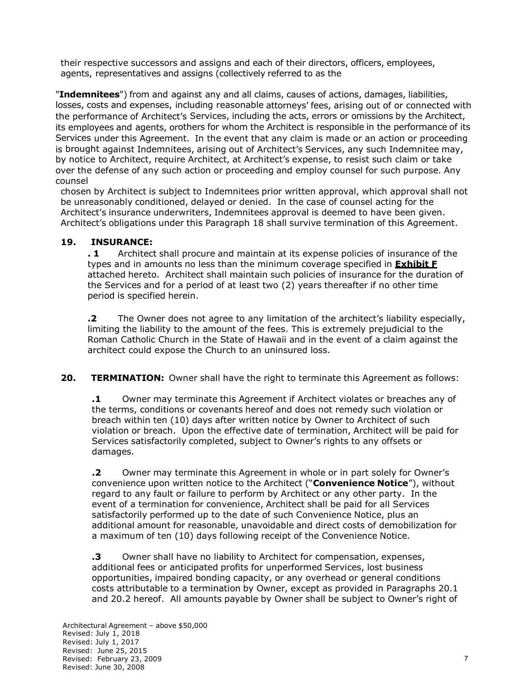their respective successors and assigns and each of their directors, officers, employees, agents, representatives and assigns (collectively referred to as the

"**Indemnitees**") from and against any and all claims, causes of actions, damages, liabilities, losses, costs and expenses, including reasonable attorneys' fees, arising out of or connected with the performance of Architect's Services, including the acts, errors or omissions by the Architect, its employees and agents, orothers for whom the Architect is responsible in the performance of its Services under this Agreement. In the event that any claim is made or an action or proceeding is brought against Indemnitees, arising out of Architect's Services, any such Indemnitee may, by notice to Architect, require Architect, at Architect's expense, to resist such claim or take over the defense of any such action or proceeding and employ counsel for such purpose. Any counsel

chosen by Architect is subject to Indemnitees prior written approval, which approval shall not be unreasonably conditioned, delayed or denied. In the case of counsel acting for the Architect's insurance underwriters, Indemnitees approval is deemed to have been given. Architect's obligations under this Paragraph 18 shall survive termination of this Agreement.

### **19. INSURANCE:**

**. 1** Architect shall procure and maintain at its expense policies of insurance of the types and in amounts no less than the minimum coverage specified in **Exhibit F**  attached hereto. Architect shall maintain such policies of insurance for the duration of the Services and for a period of at least two (2) years thereafter if no other time period is specified herein.

**.2** The Owner does not agree to any limitation of the architect's liability especially, limiting the liability to the amount of the fees. This is extremely prejudicial to the Roman Catholic Church in the State of Hawaii and in the event of a claim against the architect could expose the Church to an uninsured loss.

**20. TERMINATION:** Owner shall have the right to terminate this Agreement as follows:

**.1** Owner may terminate this Agreement if Architect violates or breaches any of the terms, conditions or covenants hereof and does not remedy such violation or breach within ten (10) days after written notice by Owner to Architect of such violation or breach. Upon the effective date of termination, Architect will be paid for Services satisfactorily completed, subject to Owner's rights to any offsets or damages.

**.2** Owner may terminate this Agreement in whole or in part solely for Owner's convenience upon written notice to the Architect ("**Convenience Notice**"), without regard to any fault or failure to perform by Architect or any other party. In the event of a termination for convenience, Architect shall be paid for all Services satisfactorily performed up to the date of such Convenience Notice, plus an additional amount for reasonable, unavoidable and direct costs of demobilization for a maximum of ten (10) days following receipt of the Convenience Notice.

**.3** Owner shall have no liability to Architect for compensation, expenses, additional fees or anticipated profits for unperformed Services, lost business opportunities, impaired bonding capacity, or any overhead or general conditions costs attributable to a termination by Owner, except as provided in Paragraphs 20.1 and 20.2 hereof. All amounts payable by Owner shall be subject to Owner's right of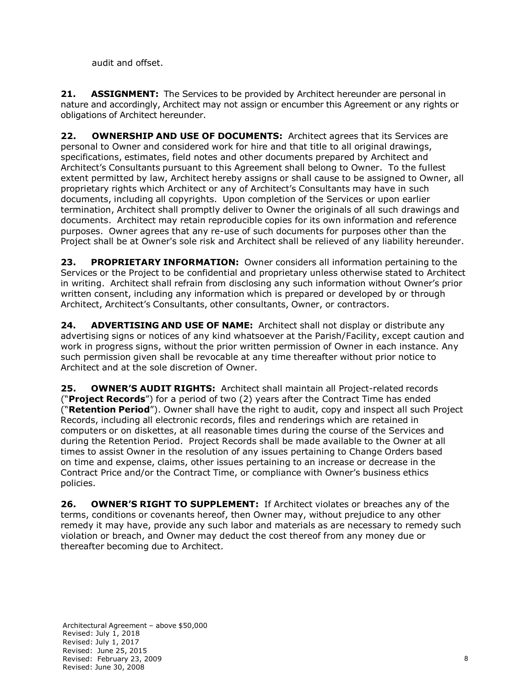audit and offset.

**21. ASSIGNMENT:** The Services to be provided by Architect hereunder are personal in nature and accordingly, Architect may not assign or encumber this Agreement or any rights or obligations of Architect hereunder.

**22. OWNERSHIP AND USE OF DOCUMENTS:** Architect agrees that its Services are personal to Owner and considered work for hire and that title to all original drawings, specifications, estimates, field notes and other documents prepared by Architect and Architect's Consultants pursuant to this Agreement shall belong to Owner. To the fullest extent permitted by law, Architect hereby assigns or shall cause to be assigned to Owner, all proprietary rights which Architect or any of Architect's Consultants may have in such documents, including all copyrights. Upon completion of the Services or upon earlier termination, Architect shall promptly deliver to Owner the originals of all such drawings and documents. Architect may retain reproducible copies for its own information and reference purposes. Owner agrees that any re-use of such documents for purposes other than the Project shall be at Owner's sole risk and Architect shall be relieved of any liability hereunder.

**23. PROPRIETARY INFORMATION:** Owner considers all information pertaining to the Services or the Project to be confidential and proprietary unless otherwise stated to Architect in writing. Architect shall refrain from disclosing any such information without Owner's prior written consent, including any information which is prepared or developed by or through Architect, Architect's Consultants, other consultants, Owner, or contractors.

**24. ADVERTISING AND USE OF NAME:** Architect shall not display or distribute any advertising signs or notices of any kind whatsoever at the Parish/Facility, except caution and work in progress signs, without the prior written permission of Owner in each instance. Any such permission given shall be revocable at any time thereafter without prior notice to Architect and at the sole discretion of Owner.

**25. OWNER'S AUDIT RIGHTS:** Architect shall maintain all Project-related records ("**Project Records**") for a period of two (2) years after the Contract Time has ended ("**Retention Period**"). Owner shall have the right to audit, copy and inspect all such Project Records, including all electronic records, files and renderings which are retained in computers or on diskettes, at all reasonable times during the course of the Services and during the Retention Period. Project Records shall be made available to the Owner at all times to assist Owner in the resolution of any issues pertaining to Change Orders based on time and expense, claims, other issues pertaining to an increase or decrease in the Contract Price and/or the Contract Time, or compliance with Owner's business ethics policies.

**26. OWNER'S RIGHT TO SUPPLEMENT:** If Architect violates or breaches any of the terms, conditions or covenants hereof, then Owner may, without prejudice to any other remedy it may have, provide any such labor and materials as are necessary to remedy such violation or breach, and Owner may deduct the cost thereof from any money due or thereafter becoming due to Architect.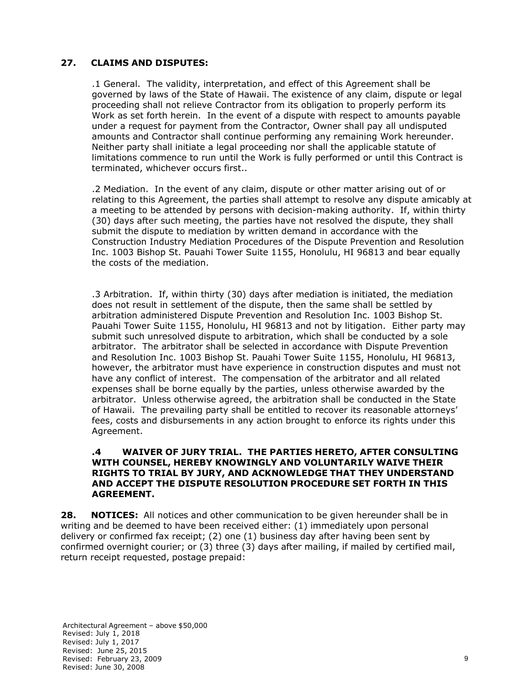### **27. CLAIMS AND DISPUTES:**

.1 General. The validity, interpretation, and effect of this Agreement shall be governed by laws of the State of Hawaii. The existence of any claim, dispute or legal proceeding shall not relieve Contractor from its obligation to properly perform its Work as set forth herein. In the event of a dispute with respect to amounts payable under a request for payment from the Contractor, Owner shall pay all undisputed amounts and Contractor shall continue performing any remaining Work hereunder. Neither party shall initiate a legal proceeding nor shall the applicable statute of limitations commence to run until the Work is fully performed or until this Contract is terminated, whichever occurs first..

.2 Mediation. In the event of any claim, dispute or other matter arising out of or relating to this Agreement, the parties shall attempt to resolve any dispute amicably at a meeting to be attended by persons with decision-making authority. If, within thirty (30) days after such meeting, the parties have not resolved the dispute, they shall submit the dispute to mediation by written demand in accordance with the Construction Industry Mediation Procedures of the Dispute Prevention and Resolution Inc. 1003 Bishop St. Pauahi Tower Suite 1155, Honolulu, HI 96813 and bear equally the costs of the mediation.

.3 Arbitration. If, within thirty (30) days after mediation is initiated, the mediation does not result in settlement of the dispute, then the same shall be settled by arbitration administered Dispute Prevention and Resolution Inc. 1003 Bishop St. Pauahi Tower Suite 1155, Honolulu, HI 96813 and not by litigation. Either party may submit such unresolved dispute to arbitration, which shall be conducted by a sole arbitrator. The arbitrator shall be selected in accordance with Dispute Prevention and Resolution Inc. 1003 Bishop St. Pauahi Tower Suite 1155, Honolulu, HI 96813, however, the arbitrator must have experience in construction disputes and must not have any conflict of interest. The compensation of the arbitrator and all related expenses shall be borne equally by the parties, unless otherwise awarded by the arbitrator. Unless otherwise agreed, the arbitration shall be conducted in the State of Hawaii. The prevailing party shall be entitled to recover its reasonable attorneys' fees, costs and disbursements in any action brought to enforce its rights under this Agreement.

#### **.4 WAIVER OF JURY TRIAL. THE PARTIES HERETO, AFTER CONSULTING WITH COUNSEL, HEREBY KNOWINGLY AND VOLUNTARILY WAIVE THEIR RIGHTS TO TRIAL BY JURY, AND ACKNOWLEDGE THAT THEY UNDERSTAND AND ACCEPT THE DISPUTE RESOLUTION PROCEDURE SET FORTH IN THIS AGREEMENT.**

**28. NOTICES:** All notices and other communication to be given hereunder shall be in writing and be deemed to have been received either: (1) immediately upon personal delivery or confirmed fax receipt; (2) one (1) business day after having been sent by confirmed overnight courier; or (3) three (3) days after mailing, if mailed by certified mail, return receipt requested, postage prepaid: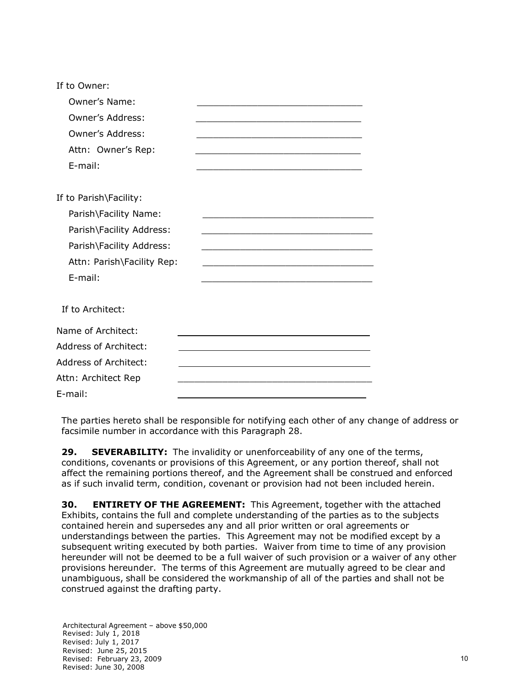| If to Owner:                 |  |
|------------------------------|--|
| Owner's Name:                |  |
| <b>Owner's Address:</b>      |  |
| <b>Owner's Address:</b>      |  |
| Attn: Owner's Rep:           |  |
| E-mail:                      |  |
| If to Parish\Facility:       |  |
| Parish\Facility Name:        |  |
| Parish\Facility Address:     |  |
| Parish\Facility Address:     |  |
| Attn: Parish\Facility Rep:   |  |
| E-mail:                      |  |
| If to Architect:             |  |
| Name of Architect:           |  |
| <b>Address of Architect:</b> |  |
| <b>Address of Architect:</b> |  |
| Attn: Architect Rep          |  |
| E-mail:                      |  |

The parties hereto shall be responsible for notifying each other of any change of address or facsimile number in accordance with this Paragraph 28.

**29. SEVERABILITY:** The invalidity or unenforceability of any one of the terms, conditions, covenants or provisions of this Agreement, or any portion thereof, shall not affect the remaining portions thereof, and the Agreement shall be construed and enforced as if such invalid term, condition, covenant or provision had not been included herein.

**30. ENTIRETY OF THE AGREEMENT:** This Agreement, together with the attached Exhibits, contains the full and complete understanding of the parties as to the subjects contained herein and supersedes any and all prior written or oral agreements or understandings between the parties. This Agreement may not be modified except by a subsequent writing executed by both parties. Waiver from time to time of any provision hereunder will not be deemed to be a full waiver of such provision or a waiver of any other provisions hereunder. The terms of this Agreement are mutually agreed to be clear and unambiguous, shall be considered the workmanship of all of the parties and shall not be construed against the drafting party.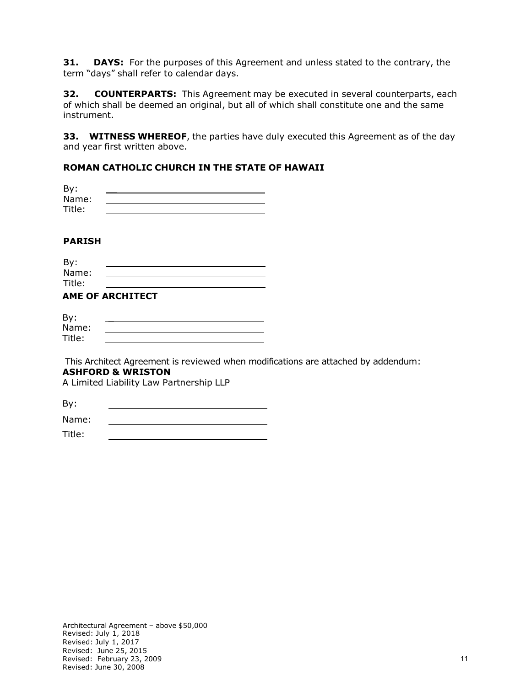**31. DAYS:** For the purposes of this Agreement and unless stated to the contrary, the term "days" shall refer to calendar days.

**32. COUNTERPARTS:** This Agreement may be executed in several counterparts, each of which shall be deemed an original, but all of which shall constitute one and the same instrument.

**33. WITNESS WHEREOF**, the parties have duly executed this Agreement as of the day and year first written above.

#### **ROMAN CATHOLIC CHURCH IN THE STATE OF HAWAII**

| By:    |  |
|--------|--|
| Name:  |  |
| Title: |  |

#### **PARISH**

| By:    |  |
|--------|--|
| Name:  |  |
| Title: |  |
|        |  |

### **AME OF ARCHITECT**

| By:    |  |
|--------|--|
| Name:  |  |
| Title: |  |

This Architect Agreement is reviewed when modifications are attached by addendum: **ASHFORD & WRISTON**

A Limited Liability Law Partnership LLP

By:

Name: 

Title: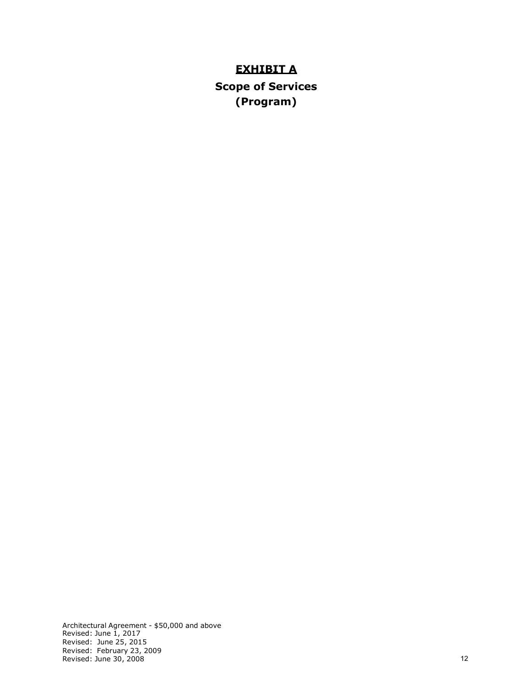# **EXHIBIT A**

**Scope of Services (Program)**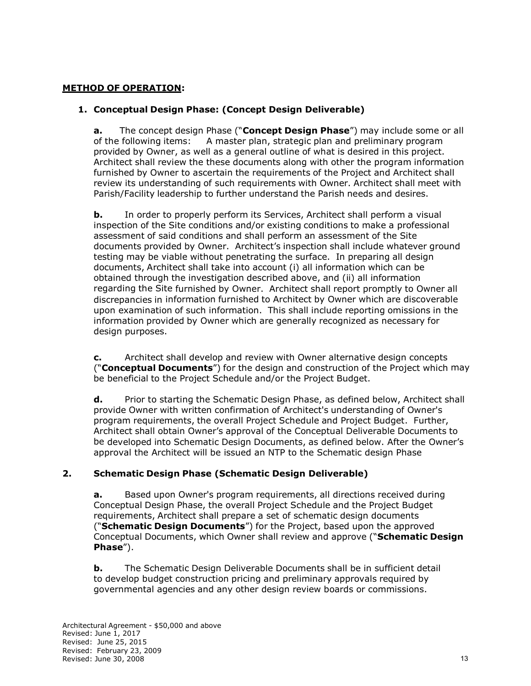#### **METHOD OF OPERATION:**

#### **1. Conceptual Design Phase: (Concept Design Deliverable)**

**a.** The concept design Phase ("**Concept Design Phase**") may include some or all of the following items: A master plan, strategic plan and preliminary program provided by Owner, as well as a general outline of what is desired in this project. Architect shall review the these documents along with other the program information furnished by Owner to ascertain the requirements of the Project and Architect shall review its understanding of such requirements with Owner. Architect shall meet with Parish/Facility leadership to further understand the Parish needs and desires.

**b.** In order to properly perform its Services, Architect shall perform a visual inspection of the Site conditions and/or existing conditions to make a professional assessment of said conditions and shall perform an assessment of the Site documents provided by Owner. Architect's inspection shall include whatever ground testing may be viable without penetrating the surface. In preparing all design documents, Architect shall take into account (i) all information which can be obtained through the investigation described above, and (ii) all information regarding the Site furnished by Owner. Architect shall report promptly to Owner all discrepancies in information furnished to Architect by Owner which are discoverable upon examination of such information. This shall include reporting omissions in the information provided by Owner which are generally recognized as necessary for design purposes.

**c.** Architect shall develop and review with Owner alternative design concepts ("**Conceptual Documents**") for the design and construction of the Project which may be beneficial to the Project Schedule and/or the Project Budget.

**d.** Prior to starting the Schematic Design Phase, as defined below, Architect shall provide Owner with written confirmation of Architect's understanding of Owner's program requirements, the overall Project Schedule and Project Budget. Further, Architect shall obtain Owner's approval of the Conceptual Deliverable Documents to be developed into Schematic Design Documents, as defined below. After the Owner's approval the Architect will be issued an NTP to the Schematic design Phase

#### **2. Schematic Design Phase (Schematic Design Deliverable)**

**a.** Based upon Owner's program requirements, all directions received during Conceptual Design Phase, the overall Project Schedule and the Project Budget requirements, Architect shall prepare a set of schematic design documents ("**Schematic Design Documents**") for the Project, based upon the approved Conceptual Documents, which Owner shall review and approve ("**Schematic Design Phase**").

**b.** The Schematic Design Deliverable Documents shall be in sufficient detail to develop budget construction pricing and preliminary approvals required by governmental agencies and any other design review boards or commissions.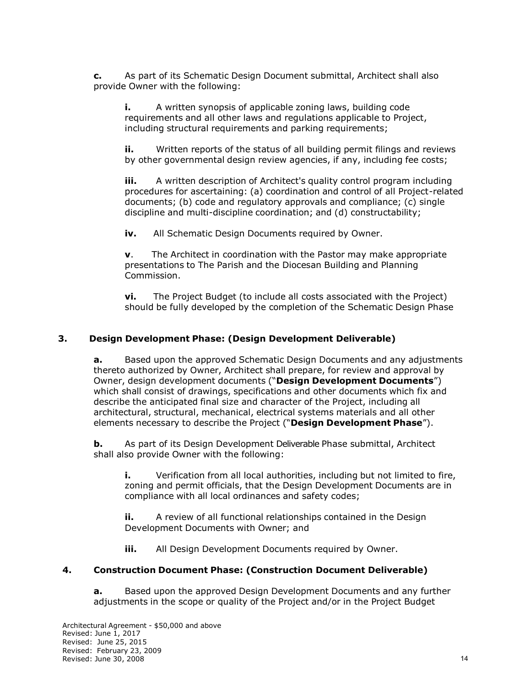**c.** As part of its Schematic Design Document submittal, Architect shall also provide Owner with the following:

**i.** A written synopsis of applicable zoning laws, building code requirements and all other laws and regulations applicable to Project, including structural requirements and parking requirements;

**ii.** Written reports of the status of all building permit filings and reviews by other governmental design review agencies, if any, including fee costs;

**iii.** A written description of Architect's quality control program including procedures for ascertaining: (a) coordination and control of all Project-related documents; (b) code and regulatory approvals and compliance; (c) single discipline and multi-discipline coordination; and (d) constructability;

**iv.** All Schematic Design Documents required by Owner.

**v**. The Architect in coordination with the Pastor may make appropriate presentations to The Parish and the Diocesan Building and Planning Commission.

**vi.** The Project Budget (to include all costs associated with the Project) should be fully developed by the completion of the Schematic Design Phase

#### **3. Design Development Phase: (Design Development Deliverable)**

**a.** Based upon the approved Schematic Design Documents and any adjustments thereto authorized by Owner, Architect shall prepare, for review and approval by Owner, design development documents ("**Design Development Documents**") which shall consist of drawings, specifications and other documents which fix and describe the anticipated final size and character of the Project, including all architectural, structural, mechanical, electrical systems materials and all other elements necessary to describe the Project ("**Design Development Phase**").

**b.** As part of its Design Development Deliverable Phase submittal, Architect shall also provide Owner with the following:

**i.** Verification from all local authorities, including but not limited to fire, zoning and permit officials, that the Design Development Documents are in compliance with all local ordinances and safety codes;

**ii.** A review of all functional relationships contained in the Design Development Documents with Owner; and

**iii.** All Design Development Documents required by Owner.

#### **4. Construction Document Phase: (Construction Document Deliverable)**

**a.** Based upon the approved Design Development Documents and any further adjustments in the scope or quality of the Project and/or in the Project Budget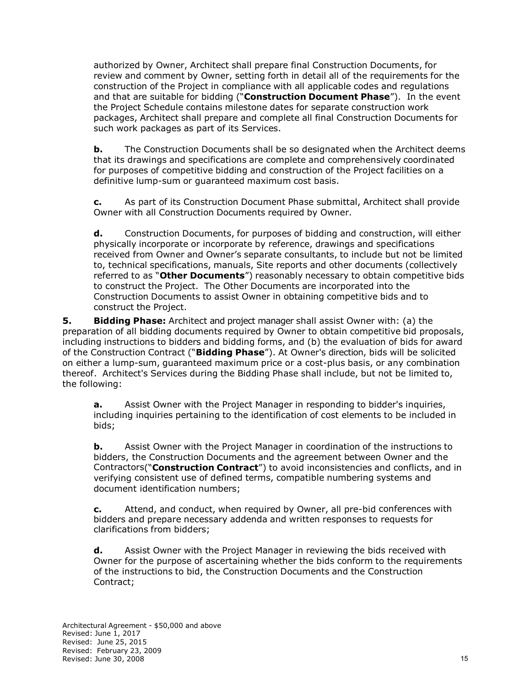authorized by Owner, Architect shall prepare final Construction Documents, for review and comment by Owner, setting forth in detail all of the requirements for the construction of the Project in compliance with all applicable codes and regulations and that are suitable for bidding ("**Construction Document Phase**"). In the event the Project Schedule contains milestone dates for separate construction work packages, Architect shall prepare and complete all final Construction Documents for such work packages as part of its Services.

**b.** The Construction Documents shall be so designated when the Architect deems that its drawings and specifications are complete and comprehensively coordinated for purposes of competitive bidding and construction of the Project facilities on a definitive lump-sum or guaranteed maximum cost basis.

**c.** As part of its Construction Document Phase submittal, Architect shall provide Owner with all Construction Documents required by Owner.

**d.** Construction Documents, for purposes of bidding and construction, will either physically incorporate or incorporate by reference, drawings and specifications received from Owner and Owner's separate consultants, to include but not be limited to, technical specifications, manuals, Site reports and other documents (collectively referred to as "**Other Documents**") reasonably necessary to obtain competitive bids to construct the Project. The Other Documents are incorporated into the Construction Documents to assist Owner in obtaining competitive bids and to construct the Project.

**5. Bidding Phase:** Architect and project manager shall assist Owner with: (a) the preparation of all bidding documents required by Owner to obtain competitive bid proposals, including instructions to bidders and bidding forms, and (b) the evaluation of bids for award of the Construction Contract ("**Bidding Phase**"). At Owner's direction, bids will be solicited on either a lump-sum, guaranteed maximum price or a cost-plus basis, or any combination thereof. Architect's Services during the Bidding Phase shall include, but not be limited to, the following:

**a.** Assist Owner with the Project Manager in responding to bidder's inquiries, including inquiries pertaining to the identification of cost elements to be included in bids;

**b.** Assist Owner with the Project Manager in coordination of the instructions to bidders, the Construction Documents and the agreement between Owner and the Contractors("**Construction Contract**") to avoid inconsistencies and conflicts, and in verifying consistent use of defined terms, compatible numbering systems and document identification numbers;

**c.** Attend, and conduct, when required by Owner, all pre-bid conferences with bidders and prepare necessary addenda and written responses to requests for clarifications from bidders;

**d.** Assist Owner with the Project Manager in reviewing the bids received with Owner for the purpose of ascertaining whether the bids conform to the requirements of the instructions to bid, the Construction Documents and the Construction Contract;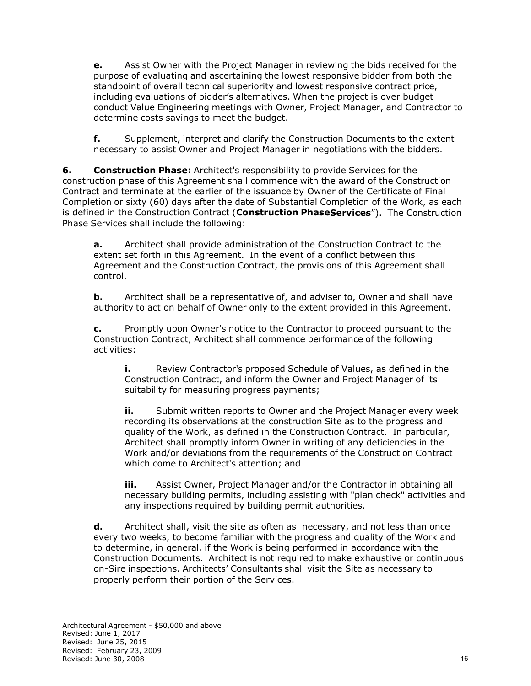**e.** Assist Owner with the Project Manager in reviewing the bids received for the purpose of evaluating and ascertaining the lowest responsive bidder from both the standpoint of overall technical superiority and lowest responsive contract price, including evaluations of bidder's alternatives. When the project is over budget conduct Value Engineering meetings with Owner, Project Manager, and Contractor to determine costs savings to meet the budget.

**f.** Supplement, interpret and clarify the Construction Documents to the extent necessary to assist Owner and Project Manager in negotiations with the bidders.

**6. Construction Phase:** Architect's responsibility to provide Services for the construction phase of this Agreement shall commence with the award of the Construction Contract and terminate at the earlier of the issuance by Owner of the Certificate of Final Completion or sixty (60) days after the date of Substantial Completion of the Work, as each is defined in the Construction Contract (**Construction PhaseServices**"). The Construction Phase Services shall include the following:

**a.** Architect shall provide administration of the Construction Contract to the extent set forth in this Agreement. In the event of a conflict between this Agreement and the Construction Contract, the provisions of this Agreement shall control.

**b.** Architect shall be a representative of, and adviser to, Owner and shall have authority to act on behalf of Owner only to the extent provided in this Agreement.

**c.** Promptly upon Owner's notice to the Contractor to proceed pursuant to the Construction Contract, Architect shall commence performance of the following activities:

**i.** Review Contractor's proposed Schedule of Values, as defined in the Construction Contract, and inform the Owner and Project Manager of its suitability for measuring progress payments;

**ii.** Submit written reports to Owner and the Project Manager every week recording its observations at the construction Site as to the progress and quality of the Work, as defined in the Construction Contract. In particular, Architect shall promptly inform Owner in writing of any deficiencies in the Work and/or deviations from the requirements of the Construction Contract which come to Architect's attention; and

**iii.** Assist Owner, Project Manager and/or the Contractor in obtaining all necessary building permits, including assisting with "plan check" activities and any inspections required by building permit authorities.

**d.** Architect shall, visit the site as often as necessary, and not less than once every two weeks, to become familiar with the progress and quality of the Work and to determine, in general, if the Work is being performed in accordance with the Construction Documents. Architect is not required to make exhaustive or continuous on-Sire inspections. Architects' Consultants shall visit the Site as necessary to properly perform their portion of the Services.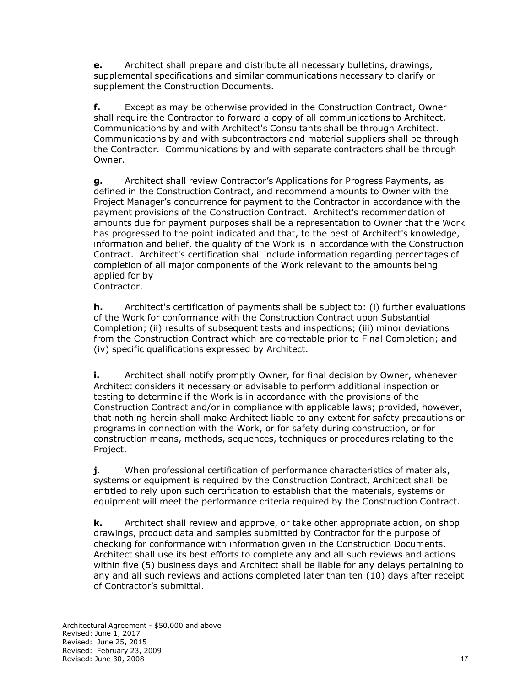**e.** Architect shall prepare and distribute all necessary bulletins, drawings, supplemental specifications and similar communications necessary to clarify or supplement the Construction Documents.

**f.** Except as may be otherwise provided in the Construction Contract, Owner shall require the Contractor to forward a copy of all communications to Architect. Communications by and with Architect's Consultants shall be through Architect. Communications by and with subcontractors and material suppliers shall be through the Contractor. Communications by and with separate contractors shall be through Owner.

**g.** Architect shall review Contractor's Applications for Progress Payments, as defined in the Construction Contract, and recommend amounts to Owner with the Project Manager's concurrence for payment to the Contractor in accordance with the payment provisions of the Construction Contract. Architect's recommendation of amounts due for payment purposes shall be a representation to Owner that the Work has progressed to the point indicated and that, to the best of Architect's knowledge, information and belief, the quality of the Work is in accordance with the Construction Contract. Architect's certification shall include information regarding percentages of completion of all major components of the Work relevant to the amounts being applied for by

Contractor.

**h.** Architect's certification of payments shall be subject to: (i) further evaluations of the Work for conformance with the Construction Contract upon Substantial Completion; (ii) results of subsequent tests and inspections; (iii) minor deviations from the Construction Contract which are correctable prior to Final Completion; and (iv) specific qualifications expressed by Architect.

**i.** Architect shall notify promptly Owner, for final decision by Owner, whenever Architect considers it necessary or advisable to perform additional inspection or testing to determine if the Work is in accordance with the provisions of the Construction Contract and/or in compliance with applicable laws; provided, however, that nothing herein shall make Architect liable to any extent for safety precautions or programs in connection with the Work, or for safety during construction, or for construction means, methods, sequences, techniques or procedures relating to the Project.

**j.** When professional certification of performance characteristics of materials, systems or equipment is required by the Construction Contract, Architect shall be entitled to rely upon such certification to establish that the materials, systems or equipment will meet the performance criteria required by the Construction Contract.

**k.** Architect shall review and approve, or take other appropriate action, on shop drawings, product data and samples submitted by Contractor for the purpose of checking for conformance with information given in the Construction Documents. Architect shall use its best efforts to complete any and all such reviews and actions within five (5) business days and Architect shall be liable for any delays pertaining to any and all such reviews and actions completed later than ten (10) days after receipt of Contractor's submittal.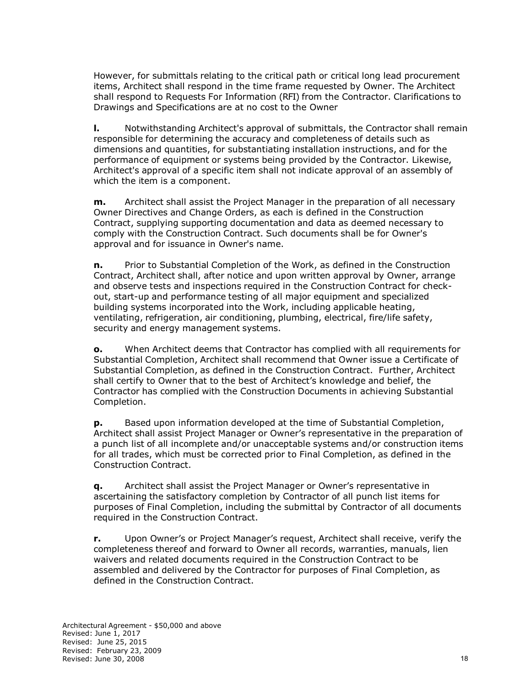However, for submittals relating to the critical path or critical long lead procurement items, Architect shall respond in the time frame requested by Owner. The Architect shall respond to Requests For Information (RFI) from the Contractor. Clarifications to Drawings and Specifications are at no cost to the Owner

**l.** Notwithstanding Architect's approval of submittals, the Contractor shall remain responsible for determining the accuracy and completeness of details such as dimensions and quantities, for substantiating installation instructions, and for the performance of equipment or systems being provided by the Contractor. Likewise, Architect's approval of a specific item shall not indicate approval of an assembly of which the item is a component.

**m.** Architect shall assist the Project Manager in the preparation of all necessary Owner Directives and Change Orders, as each is defined in the Construction Contract, supplying supporting documentation and data as deemed necessary to comply with the Construction Contract. Such documents shall be for Owner's approval and for issuance in Owner's name.

**n.** Prior to Substantial Completion of the Work, as defined in the Construction Contract, Architect shall, after notice and upon written approval by Owner, arrange and observe tests and inspections required in the Construction Contract for checkout, start-up and performance testing of all major equipment and specialized building systems incorporated into the Work, including applicable heating, ventilating, refrigeration, air conditioning, plumbing, electrical, fire/life safety, security and energy management systems.

**o.** When Architect deems that Contractor has complied with all requirements for Substantial Completion, Architect shall recommend that Owner issue a Certificate of Substantial Completion, as defined in the Construction Contract. Further, Architect shall certify to Owner that to the best of Architect's knowledge and belief, the Contractor has complied with the Construction Documents in achieving Substantial Completion.

**p.** Based upon information developed at the time of Substantial Completion, Architect shall assist Project Manager or Owner's representative in the preparation of a punch list of all incomplete and/or unacceptable systems and/or construction items for all trades, which must be corrected prior to Final Completion, as defined in the Construction Contract.

**q.** Architect shall assist the Project Manager or Owner's representative in ascertaining the satisfactory completion by Contractor of all punch list items for purposes of Final Completion, including the submittal by Contractor of all documents required in the Construction Contract.

**r.** Upon Owner's or Project Manager's request, Architect shall receive, verify the completeness thereof and forward to Owner all records, warranties, manuals, lien waivers and related documents required in the Construction Contract to be assembled and delivered by the Contractor for purposes of Final Completion, as defined in the Construction Contract.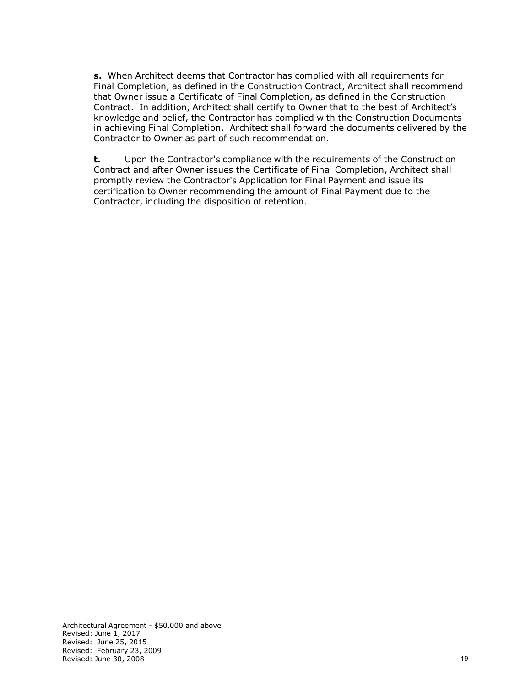**s.** When Architect deems that Contractor has complied with all requirements for Final Completion, as defined in the Construction Contract, Architect shall recommend that Owner issue a Certificate of Final Completion, as defined in the Construction Contract. In addition, Architect shall certify to Owner that to the best of Architect's knowledge and belief, the Contractor has complied with the Construction Documents in achieving Final Completion. Architect shall forward the documents delivered by the Contractor to Owner as part of such recommendation.

**t.** Upon the Contractor's compliance with the requirements of the Construction Contract and after Owner issues the Certificate of Final Completion, Architect shall promptly review the Contractor's Application for Final Payment and issue its certification to Owner recommending the amount of Final Payment due to the Contractor, including the disposition of retention.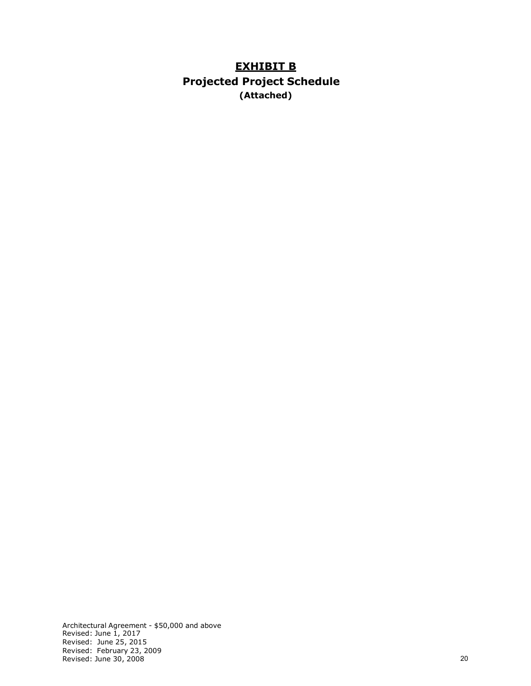# **EXHIBIT B Projected Project Schedule (Attached)**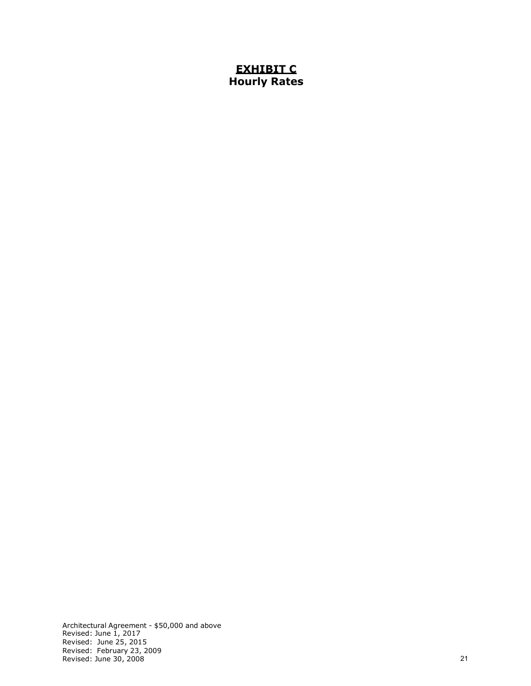## **EXHIBIT C Hourly Rates**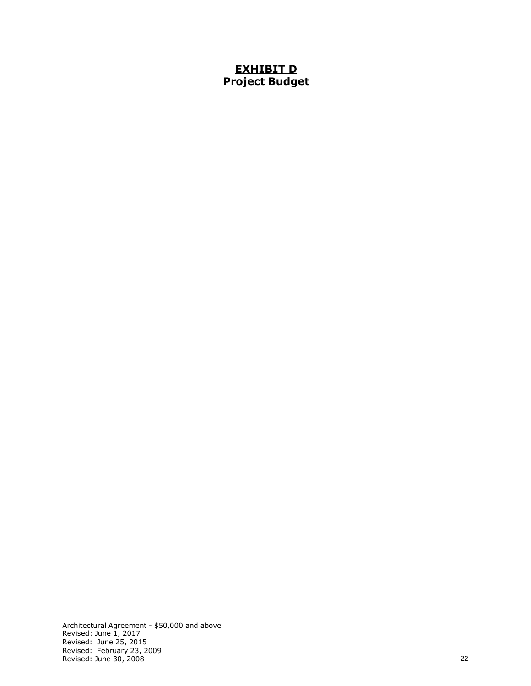## **EXHIBIT D Project Budget**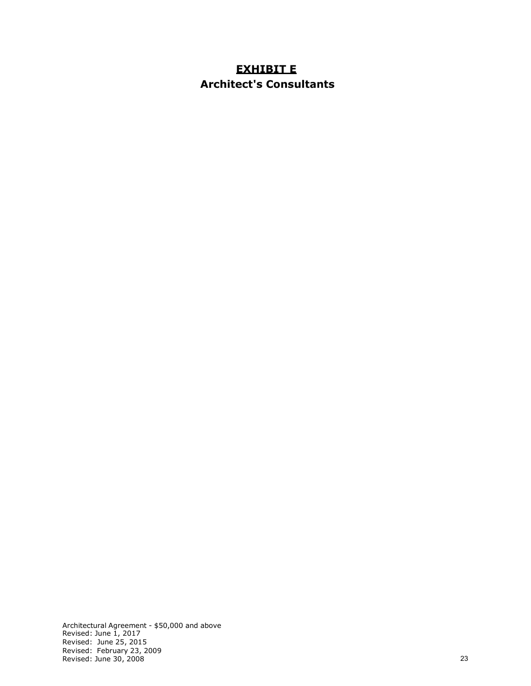# **EXHIBIT E Architect's Consultants**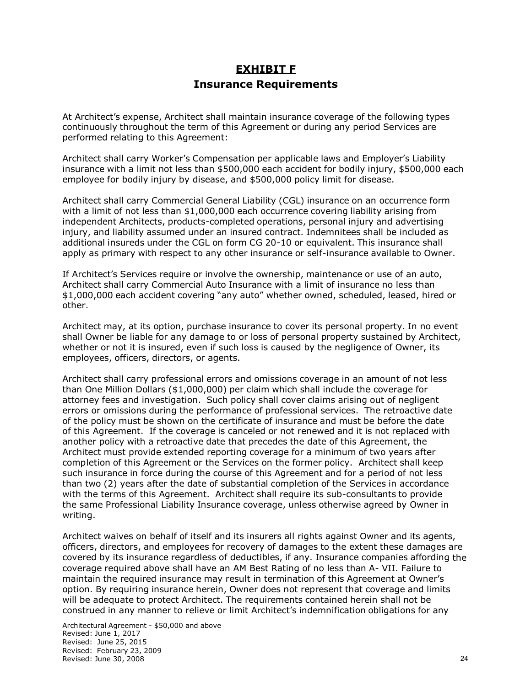# **EXHIBIT F Insurance Requirements**

At Architect's expense, Architect shall maintain insurance coverage of the following types continuously throughout the term of this Agreement or during any period Services are performed relating to this Agreement:

Architect shall carry Worker's Compensation per applicable laws and Employer's Liability insurance with a limit not less than \$500,000 each accident for bodily injury, \$500,000 each employee for bodily injury by disease, and \$500,000 policy limit for disease.

Architect shall carry Commercial General Liability (CGL) insurance on an occurrence form with a limit of not less than \$1,000,000 each occurrence covering liability arising from independent Architects, products-completed operations, personal injury and advertising injury, and liability assumed under an insured contract. Indemnitees shall be included as additional insureds under the CGL on form CG 20-10 or equivalent. This insurance shall apply as primary with respect to any other insurance or self-insurance available to Owner.

If Architect's Services require or involve the ownership, maintenance or use of an auto, Architect shall carry Commercial Auto Insurance with a limit of insurance no less than \$1,000,000 each accident covering "any auto" whether owned, scheduled, leased, hired or other.

Architect may, at its option, purchase insurance to cover its personal property. In no event shall Owner be liable for any damage to or loss of personal property sustained by Architect, whether or not it is insured, even if such loss is caused by the negligence of Owner, its employees, officers, directors, or agents.

Architect shall carry professional errors and omissions coverage in an amount of not less than One Million Dollars (\$1,000,000) per claim which shall include the coverage for attorney fees and investigation. Such policy shall cover claims arising out of negligent errors or omissions during the performance of professional services. The retroactive date of the policy must be shown on the certificate of insurance and must be before the date of this Agreement. If the coverage is canceled or not renewed and it is not replaced with another policy with a retroactive date that precedes the date of this Agreement, the Architect must provide extended reporting coverage for a minimum of two years after completion of this Agreement or the Services on the former policy. Architect shall keep such insurance in force during the course of this Agreement and for a period of not less than two (2) years after the date of substantial completion of the Services in accordance with the terms of this Agreement. Architect shall require its sub-consultants to provide the same Professional Liability Insurance coverage, unless otherwise agreed by Owner in writing.

Architect waives on behalf of itself and its insurers all rights against Owner and its agents, officers, directors, and employees for recovery of damages to the extent these damages are covered by its insurance regardless of deductibles, if any. Insurance companies affording the coverage required above shall have an AM Best Rating of no less than A- VII. Failure to maintain the required insurance may result in termination of this Agreement at Owner's option. By requiring insurance herein, Owner does not represent that coverage and limits will be adequate to protect Architect. The requirements contained herein shall not be construed in any manner to relieve or limit Architect's indemnification obligations for any